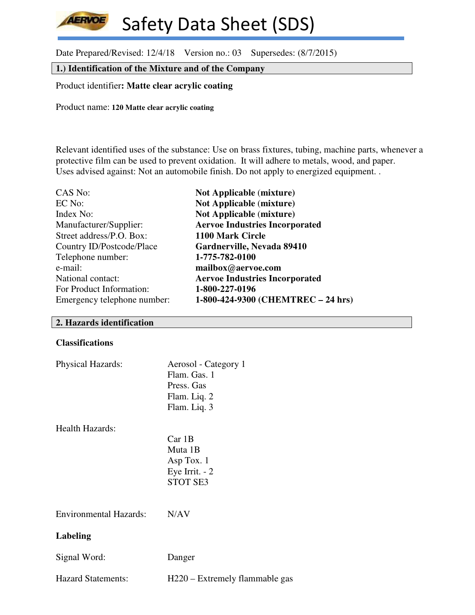**AERVOE** Safety Data Sheet (SDS)

Date Prepared/Revised: 12/4/18 Version no.: 03 Supersedes: (8/7/2015)

## **1.) Identification of the Mixture and of the Company**

Product identifier**: Matte clear acrylic coating**

Product name: **120 Matte clear acrylic coating** 

Relevant identified uses of the substance: Use on brass fixtures, tubing, machine parts, whenever a protective film can be used to prevent oxidation. It will adhere to metals, wood, and paper. Uses advised against: Not an automobile finish. Do not apply to energized equipment. .

| CAS No:                     | <b>Not Applicable (mixture)</b>       |
|-----------------------------|---------------------------------------|
| EC No:                      | <b>Not Applicable (mixture)</b>       |
| Index No:                   | <b>Not Applicable (mixture)</b>       |
| Manufacturer/Supplier:      | <b>Aervoe Industries Incorporated</b> |
| Street address/P.O. Box:    | 1100 Mark Circle                      |
| Country ID/Postcode/Place   | Gardnerville, Nevada 89410            |
| Telephone number:           | 1-775-782-0100                        |
| e-mail:                     | mailbox@aervoe.com                    |
| National contact:           | <b>Aervoe Industries Incorporated</b> |
| For Product Information:    | 1-800-227-0196                        |
| Emergency telephone number: | 1-800-424-9300 (CHEMTREC - 24 hrs)    |

#### **2. Hazards identification**

#### **Classifications**

| Physical Hazards:             | Aerosol - Category 1<br>Flam. Gas. 1<br>Press. Gas<br>Flam. Liq. 2<br>Flam. Liq. 3 |
|-------------------------------|------------------------------------------------------------------------------------|
| <b>Health Hazards:</b>        | Car1B<br>Muta 1B<br>Asp Tox. 1<br>Eye Irrit. $-2$<br><b>STOT SE3</b>               |
| <b>Environmental Hazards:</b> | N/AV                                                                               |
| <b>Labeling</b>               |                                                                                    |
| Signal Word:                  | Danger                                                                             |
| <b>Hazard Statements:</b>     | H220 – Extremely flammable gas                                                     |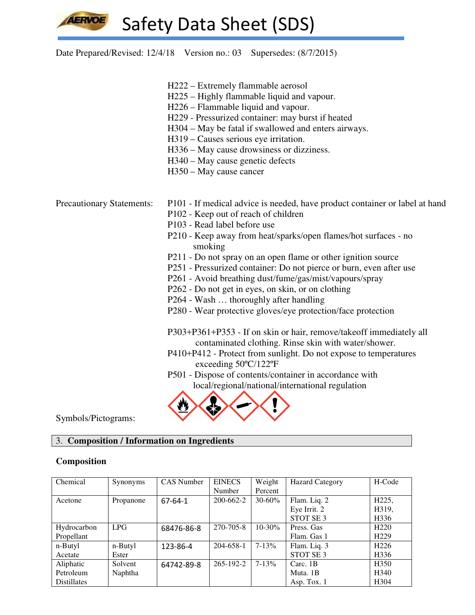Date Prepared/Revised: 12/4/18 Version no.: 03 Supersedes: (8/7/2015)

- H222 Extremely flammable aerosol
- H225 Highly flammable liquid and vapour.
- H226 Flammable liquid and vapour.
- H229 Pressurized container: may burst if heated
- H304 May be fatal if swallowed and enters airways.
- H319 Causes serious eye irritation.
- H336 May cause drowsiness or dizziness.
- H340 May cause genetic defects
- H350 May cause cancer

- Precautionary Statements: P101 If medical advice is needed, have product container or label at hand
	- P102 Keep out of reach of children
	- P103 Read label before use
	- P210 Keep away from heat/sparks/open flames/hot surfaces no smoking
	- P211 Do not spray on an open flame or other ignition source
	- P251 Pressurized container: Do not pierce or burn, even after use
	- P261 Avoid breathing dust/fume/gas/mist/vapours/spray
	- P262 Do not get in eyes, on skin, or on clothing
	- P264 Wash … thoroughly after handling
	- P280 Wear protective gloves/eye protection/face protection

 P303+P361+P353 - If on skin or hair, remove/takeoff immediately all contaminated clothing. Rinse skin with water/shower.

- P410+P412 Protect from sunlight. Do not expose to temperatures exceeding 50ºC/122ºF
- P501 Dispose of contents/container in accordance with local/regional/national/international regulation



Symbols/Pictograms:

## 3. **Composition / Information on Ingredients**

#### **Composition**

| Chemical           | Synonyms  | <b>CAS</b> Number | <b>EINECS</b>   | Weight      | <b>Hazard Category</b> | H-Code             |
|--------------------|-----------|-------------------|-----------------|-------------|------------------------|--------------------|
|                    |           |                   | Number          | Percent     |                        |                    |
| Acetone            | Propanone | $67 - 64 - 1$     | 200-662-2       | $30 - 60\%$ | Flam. Liq. 2           | H <sub>225</sub> , |
|                    |           |                   |                 |             | Eye Irrit. 2           | H319,              |
|                    |           |                   |                 |             | STOT SE <sub>3</sub>   | H <sub>336</sub>   |
| Hydrocarbon        | LPG       | 68476-86-8        | 270-705-8       | $10 - 30\%$ | Press. Gas             | H <sub>220</sub>   |
| Propellant         |           |                   |                 |             | Flam. Gas 1            | H <sub>229</sub>   |
| n-Butyl            | n-Butyl   | 123-86-4          | 204-658-1       | $7 - 13\%$  | Flam. Liq. 3           | H <sub>226</sub>   |
| Acetate            | Ester     |                   |                 |             | STOT SE <sub>3</sub>   | H336               |
| Aliphatic          | Solvent   | 64742-89-8        | $265 - 192 - 2$ | $7 - 13%$   | Carc. 1B               | H <sub>350</sub>   |
| Petroleum          | Naphtha   |                   |                 |             | Muta. 1B               | H <sub>340</sub>   |
| <b>Distillates</b> |           |                   |                 |             | Asp. Tox. $1$          | H <sub>304</sub>   |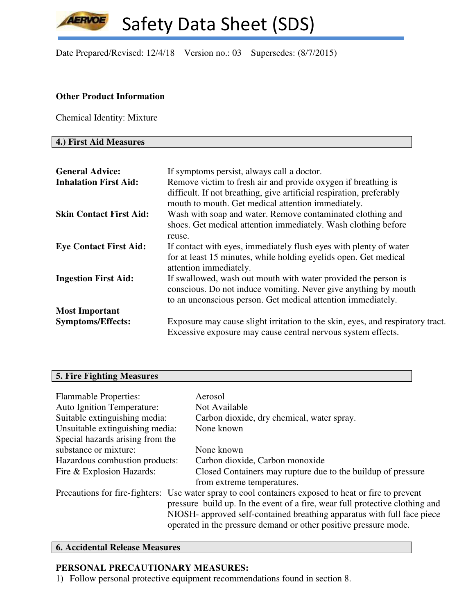Date Prepared/Revised: 12/4/18 Version no.: 03 Supersedes: (8/7/2015)

### **Other Product Information**

Chemical Identity: Mixture

## **4.) First Aid Measures**

**AERVOE** 

| <b>General Advice:</b>         | If symptoms persist, always call a doctor.                                                                                                                                                        |
|--------------------------------|---------------------------------------------------------------------------------------------------------------------------------------------------------------------------------------------------|
| <b>Inhalation First Aid:</b>   | Remove victim to fresh air and provide oxygen if breathing is<br>difficult. If not breathing, give artificial respiration, preferably<br>mouth to mouth. Get medical attention immediately.       |
| <b>Skin Contact First Aid:</b> | Wash with soap and water. Remove contaminated clothing and<br>shoes. Get medical attention immediately. Wash clothing before<br>reuse.                                                            |
| <b>Eye Contact First Aid:</b>  | If contact with eyes, immediately flush eyes with plenty of water<br>for at least 15 minutes, while holding eyelids open. Get medical<br>attention immediately.                                   |
| <b>Ingestion First Aid:</b>    | If swallowed, wash out mouth with water provided the person is<br>conscious. Do not induce vomiting. Never give anything by mouth<br>to an unconscious person. Get medical attention immediately. |
| <b>Most Important</b>          |                                                                                                                                                                                                   |
| <b>Symptoms/Effects:</b>       | Exposure may cause slight irritation to the skin, eyes, and respiratory tract.<br>Excessive exposure may cause central nervous system effects.                                                    |

# **5. Fire Fighting Measures**

| Aerosol                                                                                              |
|------------------------------------------------------------------------------------------------------|
| Not Available                                                                                        |
| Carbon dioxide, dry chemical, water spray.                                                           |
| None known                                                                                           |
|                                                                                                      |
| None known                                                                                           |
| Carbon dioxide, Carbon monoxide                                                                      |
| Closed Containers may rupture due to the buildup of pressure                                         |
| from extreme temperatures.                                                                           |
| Precautions for fire-fighters: Use water spray to cool containers exposed to heat or fire to prevent |
| pressure build up. In the event of a fire, wear full protective clothing and                         |
| NIOSH- approved self-contained breathing apparatus with full face piece                              |
| operated in the pressure demand or other positive pressure mode.                                     |
|                                                                                                      |

# **6. Accidental Release Measures**

## **PERSONAL PRECAUTIONARY MEASURES:**

1) Follow personal protective equipment recommendations found in section 8.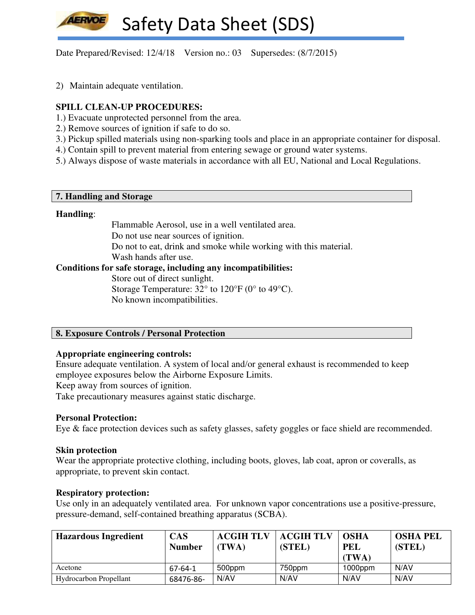Date Prepared/Revised: 12/4/18 Version no.: 03 Supersedes: (8/7/2015)

2) Maintain adequate ventilation.

## **SPILL CLEAN-UP PROCEDURES:**

- 1.) Evacuate unprotected personnel from the area.
- 2.) Remove sources of ignition if safe to do so.
- 3.) Pickup spilled materials using non-sparking tools and place in an appropriate container for disposal.
- 4.) Contain spill to prevent material from entering sewage or ground water systems.
- 5.) Always dispose of waste materials in accordance with all EU, National and Local Regulations.

#### **7. Handling and Storage**

#### **Handling**:

 Flammable Aerosol, use in a well ventilated area. Do not use near sources of ignition. Do not to eat, drink and smoke while working with this material. Wash hands after use.

## **Conditions for safe storage, including any incompatibilities:**

Store out of direct sunlight.

Storage Temperature: 32° to 120°F (0° to 49°C). No known incompatibilities.

### **8. Exposure Controls / Personal Protection**

#### **Appropriate engineering controls:**

Ensure adequate ventilation. A system of local and/or general exhaust is recommended to keep employee exposures below the Airborne Exposure Limits.

Keep away from sources of ignition.

Take precautionary measures against static discharge.

#### **Personal Protection:**

Eye & face protection devices such as safety glasses, safety goggles or face shield are recommended.

#### **Skin protection**

Wear the appropriate protective clothing, including boots, gloves, lab coat, apron or coveralls, as appropriate, to prevent skin contact.

#### **Respiratory protection:**

Use only in an adequately ventilated area. For unknown vapor concentrations use a positive-pressure, pressure-demand, self-contained breathing apparatus (SCBA).

| <b>Hazardous Ingredient</b>   | <b>CAS</b><br><b>Number</b> | <b>ACGIH TLV</b><br>(TWA) | <b>ACGIH TLV</b><br>(STEL) | <b>OSHA</b><br><b>PEL</b><br>(TWA) | <b>OSHA PEL</b><br>(STEL) |
|-------------------------------|-----------------------------|---------------------------|----------------------------|------------------------------------|---------------------------|
| Acetone                       | 67-64-1                     | 500ppm                    | 750ppm                     | $1000$ ppm                         | N/AV                      |
| <b>Hydrocarbon Propellant</b> | 68476-86-                   | N/AV                      | N/AV                       | N/AV                               | N/AV                      |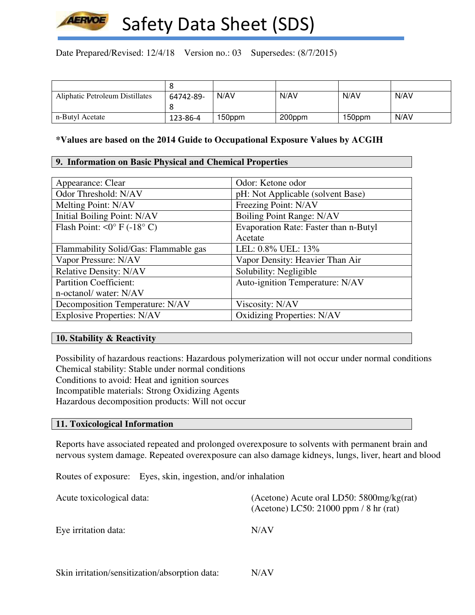

Date Prepared/Revised: 12/4/18 Version no.: 03 Supersedes: (8/7/2015)

| Aliphatic Petroleum Distillates | 64742-89- | N/AV   | N/AV   | N/AV   | N/AV |
|---------------------------------|-----------|--------|--------|--------|------|
|                                 |           |        |        |        |      |
| n-Butyl Acetate                 | 123-86-4  | 150ppm | 200ppm | 150ppm | N/AV |

### **\*Values are based on the 2014 Guide to Occupational Exposure Values by ACGIH**

### **9. Information on Basic Physical and Chemical Properties**

| Appearance: Clear                           | Odor: Ketone odor                     |
|---------------------------------------------|---------------------------------------|
| Odor Threshold: N/AV                        | pH: Not Applicable (solvent Base)     |
| Melting Point: N/AV                         | Freezing Point: N/AV                  |
| Initial Boiling Point: N/AV                 | Boiling Point Range: N/AV             |
| Flash Point: $\langle 0^{\circ}$ F (-18° C) | Evaporation Rate: Faster than n-Butyl |
|                                             | Acetate                               |
| Flammability Solid/Gas: Flammable gas       | LEL: 0.8% UEL: 13%                    |
| Vapor Pressure: N/AV                        | Vapor Density: Heavier Than Air       |
| <b>Relative Density: N/AV</b>               | Solubility: Negligible                |
| <b>Partition Coefficient:</b>               | Auto-ignition Temperature: N/AV       |
| n-octanol/water: N/AV                       |                                       |
| Decomposition Temperature: N/AV             | Viscosity: N/AV                       |
| <b>Explosive Properties: N/AV</b>           | <b>Oxidizing Properties: N/AV</b>     |

## **10. Stability & Reactivity**

Possibility of hazardous reactions: Hazardous polymerization will not occur under normal conditions Chemical stability: Stable under normal conditions Conditions to avoid: Heat and ignition sources Incompatible materials: Strong Oxidizing Agents Hazardous decomposition products: Will not occur

### **11. Toxicological Information**

Reports have associated repeated and prolonged overexposure to solvents with permanent brain and nervous system damage. Repeated overexposure can also damage kidneys, lungs, liver, heart and blood

Routes of exposure: Eyes, skin, ingestion, and/or inhalation

| Acute toxicological data: | (Acetone) Acute oral LD50: $5800mg/kg(rat)$<br>(Acetone) LC50: 21000 ppm / 8 hr (rat) |  |  |
|---------------------------|---------------------------------------------------------------------------------------|--|--|
| Eye irritation data:      | N/AV                                                                                  |  |  |
|                           |                                                                                       |  |  |

Skin irritation/sensitization/absorption data: N/AV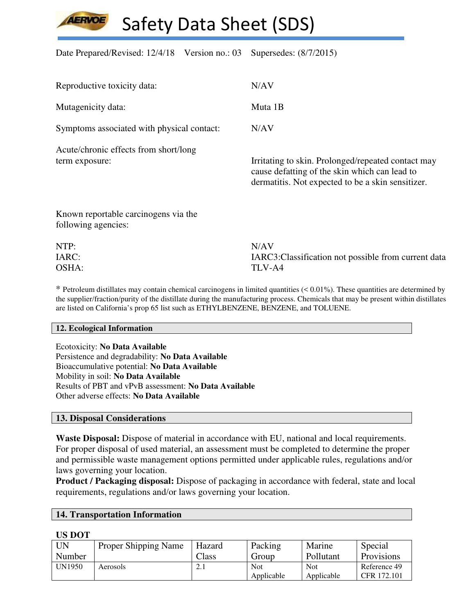Date Prepared/Revised: 12/4/18 Version no.: 03 Supersedes: (8/7/2015)

| Reproductive toxicity data:                                 | N/AV                                                                                                                                                     |
|-------------------------------------------------------------|----------------------------------------------------------------------------------------------------------------------------------------------------------|
| Mutagenicity data:                                          | Muta 1B                                                                                                                                                  |
| Symptoms associated with physical contact:                  | N/AV                                                                                                                                                     |
| Acute/chronic effects from short/long<br>term exposure:     | Irritating to skin. Prolonged/repeated contact may<br>cause defatting of the skin which can lead to<br>dermatitis. Not expected to be a skin sensitizer. |
| Known reportable carcinogens via the<br>following agencies: |                                                                                                                                                          |
| NTP:                                                        | N/AV                                                                                                                                                     |
| IARC:                                                       | IARC3: Classification not possible from current data                                                                                                     |
| OSHA:                                                       | TLV-A4                                                                                                                                                   |

 $*$  Petroleum distillates may contain chemical carcinogens in limited quantities  $( $0.01\%$ ). These quantities are determined by$ the supplier/fraction/purity of the distillate during the manufacturing process. Chemicals that may be present within distillates are listed on California's prop 65 list such as ETHYLBENZENE, BENZENE, and TOLUENE.

#### **12. Ecological Information**

Ecotoxicity: **No Data Available** Persistence and degradability: **No Data Available** Bioaccumulative potential: **No Data Available** Mobility in soil: **No Data Available** Results of PBT and vPvB assessment: **No Data Available** Other adverse effects: **No Data Available**

#### **13. Disposal Considerations**

**Waste Disposal:** Dispose of material in accordance with EU, national and local requirements. For proper disposal of used material, an assessment must be completed to determine the proper and permissible waste management options permitted under applicable rules, regulations and/or laws governing your location.

**Product / Packaging disposal:** Dispose of packaging in accordance with federal, state and local requirements, regulations and/or laws governing your location.

#### **14. Transportation Information**

#### **US DOT**

| UN            | <b>Proper Shipping Name</b> | Hazard | Packing    | Marine     | Special           |
|---------------|-----------------------------|--------|------------|------------|-------------------|
| Number        |                             | Class  | Group      | Pollutant  | <b>Provisions</b> |
| <b>UN1950</b> | Aerosols                    | 4.1    | Not        | <b>Not</b> | Reference 49      |
|               |                             |        | Applicable | Applicable | CFR 172.101       |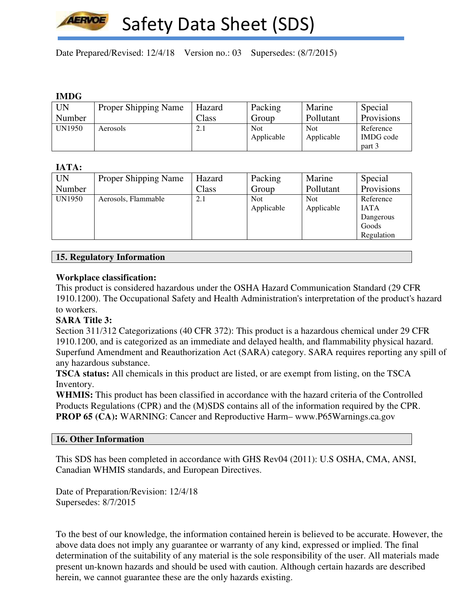

Date Prepared/Revised: 12/4/18 Version no.: 03 Supersedes: (8/7/2015)

## **IMDG**

| .      |                      |        |            |            |            |
|--------|----------------------|--------|------------|------------|------------|
| UN     | Proper Shipping Name | Hazard | Packing    | Marine     | Special    |
| Number |                      | Class  | Group      | Pollutant  | Provisions |
| UN1950 | Aerosols             | 2.1    | <b>Not</b> | <b>Not</b> | Reference  |
|        |                      |        | Applicable | Applicable | IMDG code  |
|        |                      |        |            |            | part 3     |

## **IATA:**

| <b>UN</b> | <b>Proper Shipping Name</b> | Hazard | Packing    | Marine     | Special     |
|-----------|-----------------------------|--------|------------|------------|-------------|
|           |                             |        |            |            |             |
| Number    |                             | Class  | Group      | Pollutant  | Provisions  |
| UN1950    | Aerosols, Flammable         | 2.1    | <b>Not</b> | <b>Not</b> | Reference   |
|           |                             |        | Applicable | Applicable | <b>IATA</b> |
|           |                             |        |            |            | Dangerous   |
|           |                             |        |            |            | Goods       |
|           |                             |        |            |            | Regulation  |

### **15. Regulatory Information**

### **Workplace classification:**

This product is considered hazardous under the OSHA Hazard Communication Standard (29 CFR 1910.1200). The Occupational Safety and Health Administration's interpretation of the product's hazard to workers.

#### **SARA Title 3:**

Section 311/312 Categorizations (40 CFR 372): This product is a hazardous chemical under 29 CFR 1910.1200, and is categorized as an immediate and delayed health, and flammability physical hazard. Superfund Amendment and Reauthorization Act (SARA) category. SARA requires reporting any spill of any hazardous substance.

**TSCA status:** All chemicals in this product are listed, or are exempt from listing, on the TSCA Inventory.

**WHMIS:** This product has been classified in accordance with the hazard criteria of the Controlled Products Regulations (CPR) and the (M)SDS contains all of the information required by the CPR. **PROP 65 (CA):** WARNING: Cancer and Reproductive Harm– www.P65Warnings.ca.gov

#### **16. Other Information**

This SDS has been completed in accordance with GHS Rev04 (2011): U.S OSHA, CMA, ANSI, Canadian WHMIS standards, and European Directives.

Date of Preparation/Revision: 12/4/18 Supersedes: 8/7/2015

To the best of our knowledge, the information contained herein is believed to be accurate. However, the above data does not imply any guarantee or warranty of any kind, expressed or implied. The final determination of the suitability of any material is the sole responsibility of the user. All materials made present un-known hazards and should be used with caution. Although certain hazards are described herein, we cannot guarantee these are the only hazards existing.